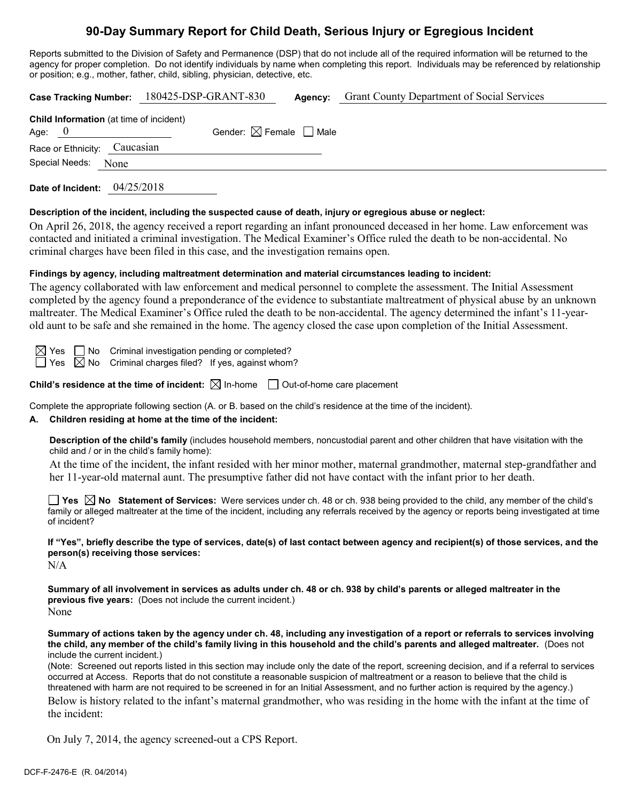## **90-Day Summary Report for Child Death, Serious Injury or Egregious Incident**

Reports submitted to the Division of Safety and Permanence (DSP) that do not include all of the required information will be returned to the agency for proper completion. Do not identify individuals by name when completing this report. Individuals may be referenced by relationship or position; e.g., mother, father, child, sibling, physician, detective, etc.

|                                                            | Case Tracking Number: 180425-DSP-GRANT-830 | Agency: | <b>Grant County Department of Social Services</b> |  |  |
|------------------------------------------------------------|--------------------------------------------|---------|---------------------------------------------------|--|--|
| <b>Child Information</b> (at time of incident)<br>Age: $0$ | Gender: $\boxtimes$ Female $\Box$ Male     |         |                                                   |  |  |
| Race or Ethnicity: Caucasian                               |                                            |         |                                                   |  |  |
| Special Needs:<br>None                                     |                                            |         |                                                   |  |  |
|                                                            |                                            |         |                                                   |  |  |

**Date of Incident:** 04/25/2018

#### **Description of the incident, including the suspected cause of death, injury or egregious abuse or neglect:**

On April 26, 2018, the agency received a report regarding an infant pronounced deceased in her home. Law enforcement was contacted and initiated a criminal investigation. The Medical Examiner's Office ruled the death to be non-accidental. No criminal charges have been filed in this case, and the investigation remains open.

#### **Findings by agency, including maltreatment determination and material circumstances leading to incident:**

The agency collaborated with law enforcement and medical personnel to complete the assessment. The Initial Assessment completed by the agency found a preponderance of the evidence to substantiate maltreatment of physical abuse by an unknown maltreater. The Medical Examiner's Office ruled the death to be non-accidental. The agency determined the infant's 11-yearold aunt to be safe and she remained in the home. The agency closed the case upon completion of the Initial Assessment.

 $\boxtimes$  Yes  $\Box$  No Criminal investigation pending or completed?

 $\Box$  Yes  $\boxtimes$  No Criminal charges filed? If yes, against whom?

#### **Child's residence at the time of incident:**  $\boxtimes$  In-home  $\Box$  Out-of-home care placement

Complete the appropriate following section (A. or B. based on the child's residence at the time of the incident).

#### **A. Children residing at home at the time of the incident:**

**Description of the child's family** (includes household members, noncustodial parent and other children that have visitation with the child and / or in the child's family home):

At the time of the incident, the infant resided with her minor mother, maternal grandmother, maternal step-grandfather and her 11-year-old maternal aunt. The presumptive father did not have contact with the infant prior to her death.

**Yes No Statement of Services:** Were services under ch. 48 or ch. 938 being provided to the child, any member of the child's family or alleged maltreater at the time of the incident, including any referrals received by the agency or reports being investigated at time of incident?

#### **If "Yes", briefly describe the type of services, date(s) of last contact between agency and recipient(s) of those services, and the person(s) receiving those services:**

 $N/A$ 

**Summary of all involvement in services as adults under ch. 48 or ch. 938 by child's parents or alleged maltreater in the previous five years:** (Does not include the current incident.) None

**Summary of actions taken by the agency under ch. 48, including any investigation of a report or referrals to services involving the child, any member of the child's family living in this household and the child's parents and alleged maltreater.** (Does not include the current incident.)

(Note: Screened out reports listed in this section may include only the date of the report, screening decision, and if a referral to services occurred at Access. Reports that do not constitute a reasonable suspicion of maltreatment or a reason to believe that the child is threatened with harm are not required to be screened in for an Initial Assessment, and no further action is required by the agency.)

Below is history related to the infant's maternal grandmother, who was residing in the home with the infant at the time of the incident:

On July 7, 2014, the agency screened-out a CPS Report.